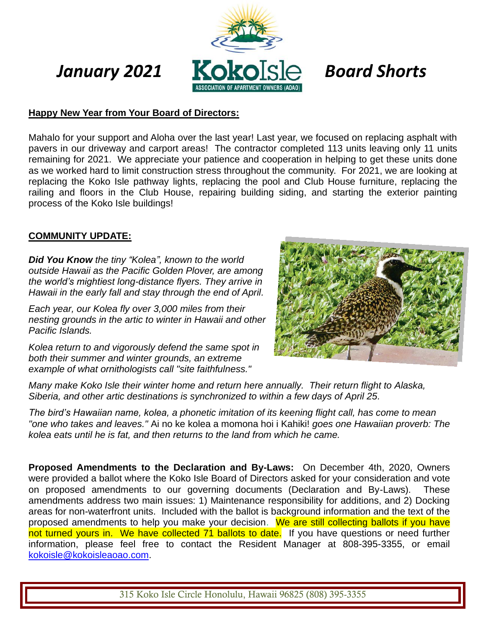

### **Happy New Year from Your Board of Directors:**

Mahalo for your support and Aloha over the last year! Last year, we focused on replacing asphalt with pavers in our driveway and carport areas! The contractor completed 113 units leaving only 11 units remaining for 2021. We appreciate your patience and cooperation in helping to get these units done as we worked hard to limit construction stress throughout the community. For 2021, we are looking at replacing the Koko Isle pathway lights, replacing the pool and Club House furniture, replacing the railing and floors in the Club House, repairing building siding, and starting the exterior painting process of the Koko Isle buildings!

#### **COMMUNITY UPDATE:**

*Did You Know the tiny "Kolea", known to the world outside Hawaii as the Pacific Golden Plover, are among the world's mightiest long-distance flyers. They arrive in Hawaii in the early fall and stay through the end of April.*

*Each year, our Kolea fly over 3,000 miles from their nesting grounds in the artic to winter in Hawaii and other Pacific Islands.*

*Kolea return to and vigorously defend the same spot in both their summer and winter grounds, an extreme example of what ornithologists call "site faithfulness."* 



*Many make Koko Isle their winter home and return here annually. Their return flight to Alaska, Siberia, and other artic destinations is synchronized to within a few days of April 25.*

*The bird's Hawaiian name, kolea, a phonetic imitation of its keening flight call, has come to mean "one who takes and leaves."* Ai no ke kolea a momona hoi i Kahiki! *goes one Hawaiian proverb: The kolea eats until he is fat, and then returns to the land from which he came.*

**Proposed Amendments to the Declaration and By-Laws:** On December 4th, 2020, Owners were provided a ballot where the Koko Isle Board of Directors asked for your consideration and vote on proposed amendments to our governing documents (Declaration and By-Laws). These amendments address two main issues: 1) Maintenance responsibility for additions, and 2) Docking areas for non-waterfront units. Included with the ballot is background information and the text of the proposed amendments to help you make your decision. We are still collecting ballots if you have not turned yours in. We have collected 71 ballots to date. If you have questions or need further information, please feel free to contact the Resident Manager at 808-395-3355, or email [kokoisle@kokoisleaoao.com.](mailto:kokoisle@kokoisleaoao.com)

315 Koko Isle Circle Honolulu, Hawaii 96825 (808) 395-3355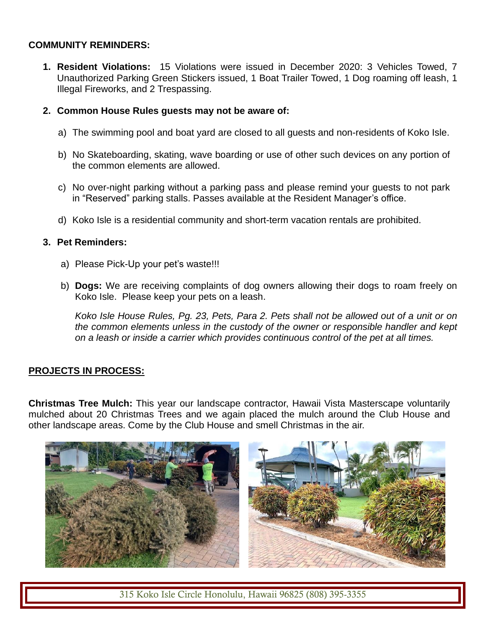# **COMMUNITY REMINDERS:**

**1. Resident Violations:** 15 Violations were issued in December 2020: 3 Vehicles Towed, 7 Unauthorized Parking Green Stickers issued, 1 Boat Trailer Towed, 1 Dog roaming off leash, 1 Illegal Fireworks, and 2 Trespassing.

### **2. Common House Rules guests may not be aware of:**

- a) The swimming pool and boat yard are closed to all guests and non-residents of Koko Isle.
- b) No Skateboarding, skating, wave boarding or use of other such devices on any portion of the common elements are allowed.
- c) No over-night parking without a parking pass and please remind your guests to not park in "Reserved" parking stalls. Passes available at the Resident Manager's office.
- d) Koko Isle is a residential community and short-term vacation rentals are prohibited.

# **3. Pet Reminders:**

- a) Please Pick-Up your pet's waste!!!
- b) **Dogs:** We are receiving complaints of dog owners allowing their dogs to roam freely on Koko Isle. Please keep your pets on a leash.

*Koko Isle House Rules, Pg. 23, Pets, Para 2. Pets shall not be allowed out of a unit or on the common elements unless in the custody of the owner or responsible handler and kept on a leash or inside a carrier which provides continuous control of the pet at all times.*

# **PROJECTS IN PROCESS:**

**Christmas Tree Mulch:** This year our landscape contractor, Hawaii Vista Masterscape voluntarily mulched about 20 Christmas Trees and we again placed the mulch around the Club House and other landscape areas. Come by the Club House and smell Christmas in the air.



315 Koko Isle Circle Honolulu, Hawaii 96825 (808) 395-3355